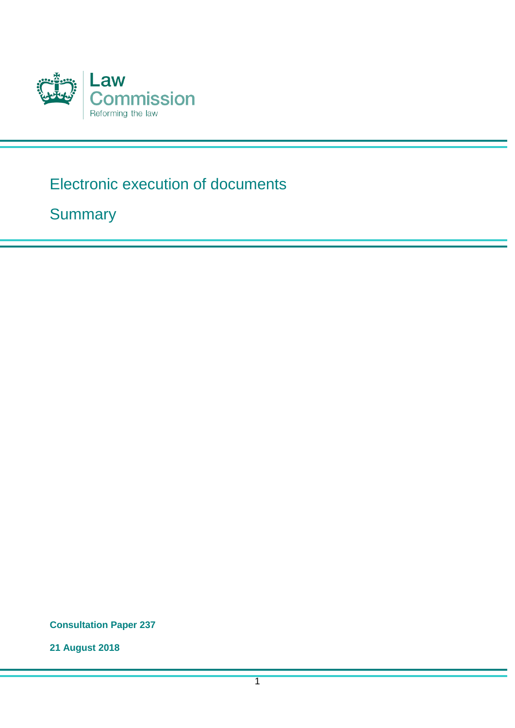

# Electronic execution of documents

**Summary** 

**Consultation Paper 237**

**21 August 2018**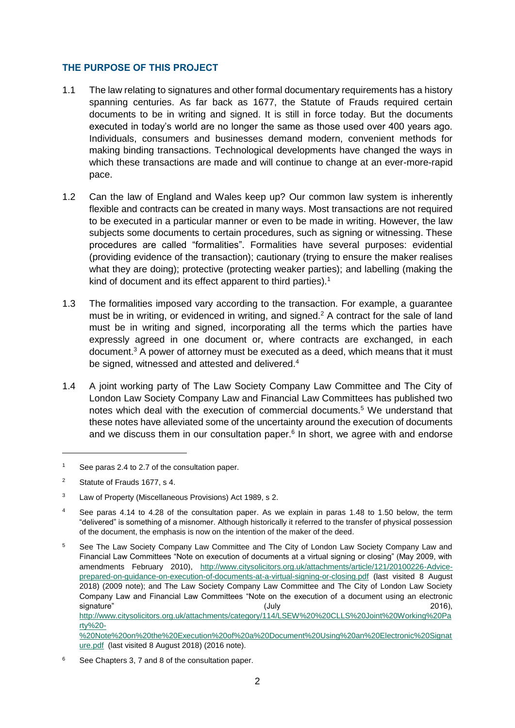## **THE PURPOSE OF THIS PROJECT**

- 1.1 The law relating to signatures and other formal documentary requirements has a history spanning centuries. As far back as 1677, the Statute of Frauds required certain documents to be in writing and signed. It is still in force today. But the documents executed in today's world are no longer the same as those used over 400 years ago. Individuals, consumers and businesses demand modern, convenient methods for making binding transactions. Technological developments have changed the ways in which these transactions are made and will continue to change at an ever-more-rapid pace.
- 1.2 Can the law of England and Wales keep up? Our common law system is inherently flexible and contracts can be created in many ways. Most transactions are not required to be executed in a particular manner or even to be made in writing. However, the law subjects some documents to certain procedures, such as signing or witnessing. These procedures are called "formalities". Formalities have several purposes: evidential (providing evidence of the transaction); cautionary (trying to ensure the maker realises what they are doing); protective (protecting weaker parties); and labelling (making the kind of document and its effect apparent to third parties).<sup>1</sup>
- 1.3 The formalities imposed vary according to the transaction. For example, a guarantee must be in writing, or evidenced in writing, and signed.<sup>2</sup> A contract for the sale of land must be in writing and signed, incorporating all the terms which the parties have expressly agreed in one document or, where contracts are exchanged, in each document.<sup>3</sup> A power of attorney must be executed as a deed, which means that it must be signed, witnessed and attested and delivered.<sup>4</sup>
- 1.4 A joint working party of The Law Society Company Law Committee and The City of London Law Society Company Law and Financial Law Committees has published two notes which deal with the execution of commercial documents.<sup>5</sup> We understand that these notes have alleviated some of the uncertainty around the execution of documents and we discuss them in our consultation paper. $6$  In short, we agree with and endorse

<sup>1</sup> See paras 2.4 to 2.7 of the consultation paper.

<sup>2</sup> Statute of Frauds 1677, s 4.

<sup>3</sup> Law of Property (Miscellaneous Provisions) Act 1989, s 2.

<sup>4</sup> See paras 4.14 to 4.28 of the consultation paper. As we explain in paras 1.48 to 1.50 below, the term "delivered" is something of a misnomer. Although historically it referred to the transfer of physical possession of the document, the emphasis is now on the intention of the maker of the deed.

<sup>&</sup>lt;sup>5</sup> See The Law Society Company Law Committee and The City of London Law Society Company Law and Financial Law Committees "Note on execution of documents at a virtual signing or closing" (May 2009, with amendments February 2010), [http://www.citysolicitors.org.uk/attachments/article/121/20100226-Advice](http://www.citysolicitors.org.uk/attachments/article/121/20100226-Advice-prepared-on-guidance-on-execution-of-documents-at-a-virtual-signing-or-closing.pdf)[prepared-on-guidance-on-execution-of-documents-at-a-virtual-signing-or-closing.pdf](http://www.citysolicitors.org.uk/attachments/article/121/20100226-Advice-prepared-on-guidance-on-execution-of-documents-at-a-virtual-signing-or-closing.pdf) (last visited 8 August 2018) (2009 note); and The Law Society Company Law Committee and The City of London Law Society Company Law and Financial Law Committees "Note on the execution of a document using an electronic signature" (July 2016), [http://www.citysolicitors.org.uk/attachments/category/114/LSEW%20%20CLLS%20Joint%20Working%20Pa](http://www.citysolicitors.org.uk/attachments/category/114/LSEW%20%20CLLS%20Joint%20Working%20Party%20-%20Note%20on%20the%20Execution%20of%20a%20Document%20Using%20an%20Electronic%20Signature.pdf) [rty%20-](http://www.citysolicitors.org.uk/attachments/category/114/LSEW%20%20CLLS%20Joint%20Working%20Party%20-%20Note%20on%20the%20Execution%20of%20a%20Document%20Using%20an%20Electronic%20Signature.pdf) [%20Note%20on%20the%20Execution%20of%20a%20Document%20Using%20an%20Electronic%20Signat](http://www.citysolicitors.org.uk/attachments/category/114/LSEW%20%20CLLS%20Joint%20Working%20Party%20-%20Note%20on%20the%20Execution%20of%20a%20Document%20Using%20an%20Electronic%20Signature.pdf) [ure.pdf](http://www.citysolicitors.org.uk/attachments/category/114/LSEW%20%20CLLS%20Joint%20Working%20Party%20-%20Note%20on%20the%20Execution%20of%20a%20Document%20Using%20an%20Electronic%20Signature.pdf) (last visited 8 August 2018) (2016 note).

<sup>6</sup> See Chapters 3, 7 and 8 of the consultation paper.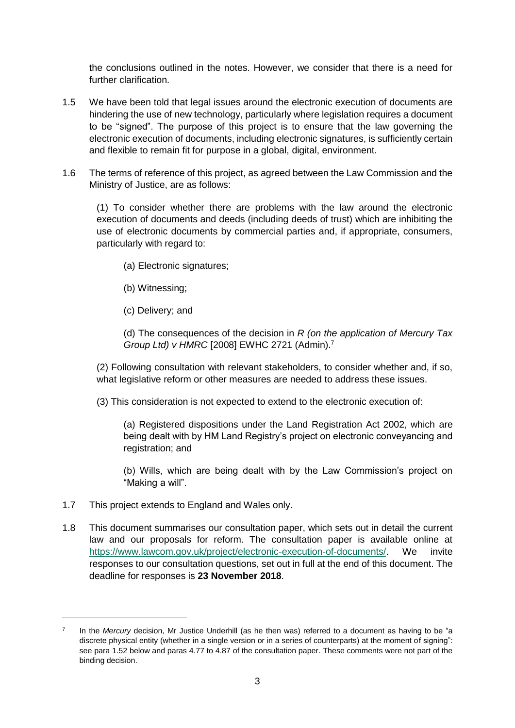the conclusions outlined in the notes. However, we consider that there is a need for further clarification.

- 1.5 We have been told that legal issues around the electronic execution of documents are hindering the use of new technology, particularly where legislation requires a document to be "signed". The purpose of this project is to ensure that the law governing the electronic execution of documents, including electronic signatures, is sufficiently certain and flexible to remain fit for purpose in a global, digital, environment.
- 1.6 The terms of reference of this project, as agreed between the Law Commission and the Ministry of Justice, are as follows:

(1) To consider whether there are problems with the law around the electronic execution of documents and deeds (including deeds of trust) which are inhibiting the use of electronic documents by commercial parties and, if appropriate, consumers, particularly with regard to:

- (a) Electronic signatures;
- (b) Witnessing;
- (c) Delivery; and

(d) The consequences of the decision in *R (on the application of Mercury Tax Group Ltd) v HMRC* [2008] EWHC 2721 (Admin).<sup>7</sup>

(2) Following consultation with relevant stakeholders, to consider whether and, if so, what legislative reform or other measures are needed to address these issues.

(3) This consideration is not expected to extend to the electronic execution of:

(a) Registered dispositions under the Land Registration Act 2002, which are being dealt with by HM Land Registry's project on electronic conveyancing and registration; and

(b) Wills, which are being dealt with by the Law Commission's project on "Making a will".

1.7 This project extends to England and Wales only.

-

1.8 This document summarises our consultation paper, which sets out in detail the current law and our proposals for reform. The consultation paper is available online at [https://www.lawcom.gov.uk/project/electronic-execution-of-documents/.](https://www.lawcom.gov.uk/project/electronic-execution-of-documents/) We invite responses to our consultation questions, set out in full at the end of this document. The deadline for responses is **23 November 2018**.

<sup>7</sup> In the *Mercury* decision, Mr Justice Underhill (as he then was) referred to a document as having to be "a discrete physical entity (whether in a single version or in a series of counterparts) at the moment of signing": see para 1.52 below and paras 4.77 to 4.87 of the consultation paper. These comments were not part of the binding decision.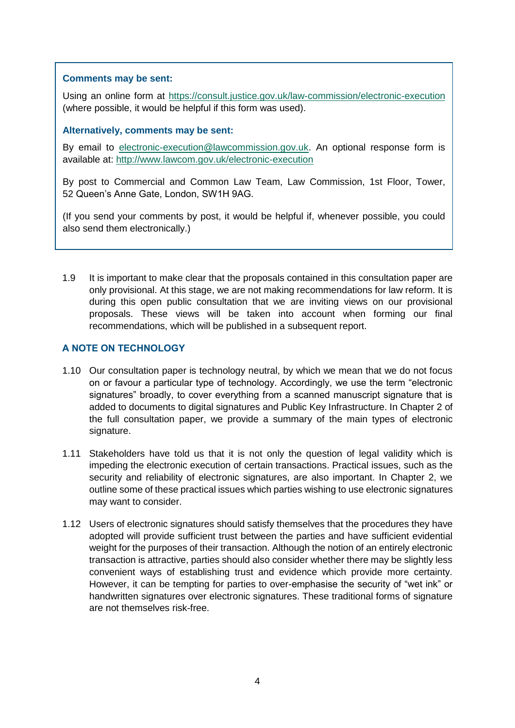# **Comments may be sent:**

Using an online form at<https://consult.justice.gov.uk/law-commission/electronic-execution> (where possible, it would be helpful if this form was used).

## **Alternatively, comments may be sent:**

By email to [electronic-execution@lawcommission.gov.uk.](mailto:electronic-execution@lawcommission.gov.uk) An optional response form is available at:<http://www.lawcom.gov.uk/electronic-execution>

By post to Commercial and Common Law Team, Law Commission, 1st Floor, Tower, 52 Queen's Anne Gate, London, SW1H 9AG.

(If you send your comments by post, it would be helpful if, whenever possible, you could also send them electronically.)

1.9 It is important to make clear that the proposals contained in this consultation paper are only provisional. At this stage, we are not making recommendations for law reform. It is during this open public consultation that we are inviting views on our provisional proposals. These views will be taken into account when forming our final recommendations, which will be published in a subsequent report.

# **A NOTE ON TECHNOLOGY**

- 1.10 Our consultation paper is technology neutral, by which we mean that we do not focus on or favour a particular type of technology. Accordingly, we use the term "electronic signatures" broadly, to cover everything from a scanned manuscript signature that is added to documents to digital signatures and Public Key Infrastructure. In Chapter 2 of the full consultation paper, we provide a summary of the main types of electronic signature.
- 1.11 Stakeholders have told us that it is not only the question of legal validity which is impeding the electronic execution of certain transactions. Practical issues, such as the security and reliability of electronic signatures, are also important. In Chapter 2, we outline some of these practical issues which parties wishing to use electronic signatures may want to consider.
- 1.12 Users of electronic signatures should satisfy themselves that the procedures they have adopted will provide sufficient trust between the parties and have sufficient evidential weight for the purposes of their transaction. Although the notion of an entirely electronic transaction is attractive, parties should also consider whether there may be slightly less convenient ways of establishing trust and evidence which provide more certainty. However, it can be tempting for parties to over-emphasise the security of "wet ink" or handwritten signatures over electronic signatures. These traditional forms of signature are not themselves risk-free.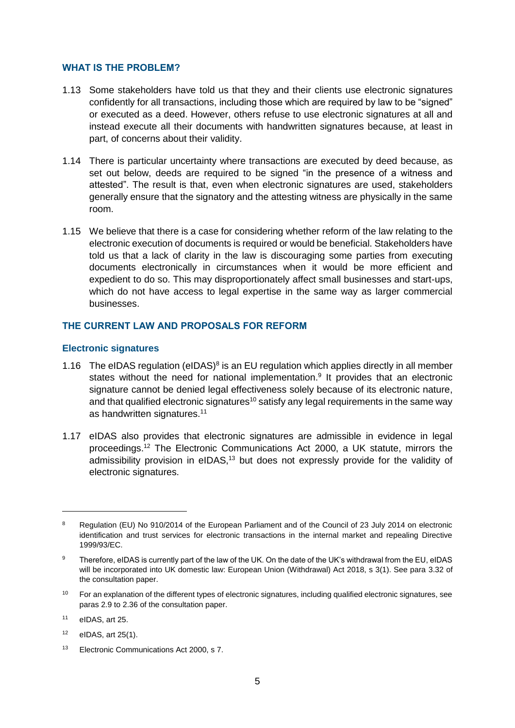#### **WHAT IS THE PROBLEM?**

- 1.13 Some stakeholders have told us that they and their clients use electronic signatures confidently for all transactions, including those which are required by law to be "signed" or executed as a deed. However, others refuse to use electronic signatures at all and instead execute all their documents with handwritten signatures because, at least in part, of concerns about their validity.
- 1.14 There is particular uncertainty where transactions are executed by deed because, as set out below, deeds are required to be signed "in the presence of a witness and attested". The result is that, even when electronic signatures are used, stakeholders generally ensure that the signatory and the attesting witness are physically in the same room.
- 1.15 We believe that there is a case for considering whether reform of the law relating to the electronic execution of documents is required or would be beneficial. Stakeholders have told us that a lack of clarity in the law is discouraging some parties from executing documents electronically in circumstances when it would be more efficient and expedient to do so. This may disproportionately affect small businesses and start-ups, which do not have access to legal expertise in the same way as larger commercial businesses.

## **THE CURRENT LAW AND PROPOSALS FOR REFORM**

#### **Electronic signatures**

- 1.16 The eIDAS regulation (eIDAS) $8$  is an EU regulation which applies directly in all member states without the need for national implementation.<sup>9</sup> It provides that an electronic signature cannot be denied legal effectiveness solely because of its electronic nature, and that qualified electronic signatures<sup>10</sup> satisfy any legal requirements in the same way as handwritten signatures.<sup>11</sup>
- 1.17 eIDAS also provides that electronic signatures are admissible in evidence in legal proceedings.<sup>12</sup> The Electronic Communications Act 2000, a UK statute, mirrors the admissibility provision in eIDAS,<sup>13</sup> but does not expressly provide for the validity of electronic signatures.

<sup>&</sup>lt;sup>8</sup> Regulation (EU) No 910/2014 of the European Parliament and of the Council of 23 July 2014 on electronic identification and trust services for electronic transactions in the internal market and repealing Directive 1999/93/EC.

<sup>9</sup> Therefore, eIDAS is currently part of the law of the UK. On the date of the UK's withdrawal from the EU, eIDAS will be incorporated into UK domestic law: European Union (Withdrawal) Act 2018, s 3(1). See para 3.32 of the consultation paper.

 $10$  For an explanation of the different types of electronic signatures, including qualified electronic signatures, see paras 2.9 to 2.36 of the consultation paper.

<sup>11</sup> eIDAS, art 25.

<sup>12</sup> eIDAS, art 25(1).

<sup>&</sup>lt;sup>13</sup> Electronic Communications Act 2000, s 7.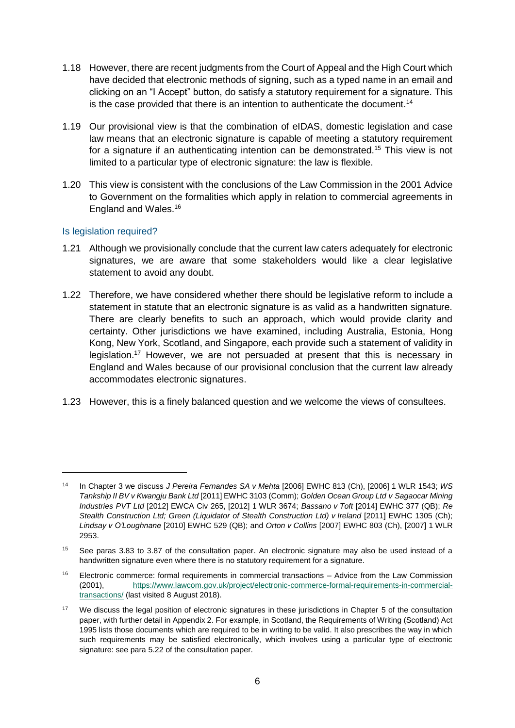- 1.18 However, there are recent judgments from the Court of Appeal and the High Court which have decided that electronic methods of signing, such as a typed name in an email and clicking on an "I Accept" button, do satisfy a statutory requirement for a signature. This is the case provided that there is an intention to authenticate the document.<sup>14</sup>
- 1.19 Our provisional view is that the combination of eIDAS, domestic legislation and case law means that an electronic signature is capable of meeting a statutory requirement for a signature if an authenticating intention can be demonstrated.<sup>15</sup> This view is not limited to a particular type of electronic signature: the law is flexible.
- 1.20 This view is consistent with the conclusions of the Law Commission in the 2001 Advice to Government on the formalities which apply in relation to commercial agreements in England and Wales.<sup>16</sup>

## Is legislation required?

- 1.21 Although we provisionally conclude that the current law caters adequately for electronic signatures, we are aware that some stakeholders would like a clear legislative statement to avoid any doubt.
- 1.22 Therefore, we have considered whether there should be legislative reform to include a statement in statute that an electronic signature is as valid as a handwritten signature. There are clearly benefits to such an approach, which would provide clarity and certainty. Other jurisdictions we have examined, including Australia, Estonia, Hong Kong, New York, Scotland, and Singapore, each provide such a statement of validity in legislation.<sup>17</sup> However, we are not persuaded at present that this is necessary in England and Wales because of our provisional conclusion that the current law already accommodates electronic signatures.
- 1.23 However, this is a finely balanced question and we welcome the views of consultees.

<sup>14</sup> In Chapter 3 we discuss *J Pereira Fernandes SA v Mehta* [2006] EWHC 813 (Ch), [2006] 1 WLR 1543; *WS Tankship II BV v Kwangju Bank Ltd* [2011] EWHC 3103 (Comm); *Golden Ocean Group Ltd v Sagaocar Mining Industries PVT Ltd* [2012] EWCA Civ 265, [2012] 1 WLR 3674; *Bassano v Toft* [2014] EWHC 377 (QB); *Re Stealth Construction Ltd; Green (Liquidator of Stealth Construction Ltd) v Ireland* [2011] EWHC 1305 (Ch); *Lindsay v O'Loughnane* [2010] EWHC 529 (QB); and *Orton v Collins* [2007] EWHC 803 (Ch), [2007] 1 WLR 2953.

<sup>15</sup> See paras 3.83 to 3.87 of the consultation paper. An electronic signature may also be used instead of a handwritten signature even where there is no statutory requirement for a signature.

<sup>16</sup> Electronic commerce: formal requirements in commercial transactions – Advice from the Law Commission (2001), [https://www.lawcom.gov.uk/project/electronic-commerce-formal-requirements-in-commercial](https://www.lawcom.gov.uk/project/electronic-commerce-formal-requirements-in-commercial-transactions/)[transactions/](https://www.lawcom.gov.uk/project/electronic-commerce-formal-requirements-in-commercial-transactions/) (last visited 8 August 2018).

<sup>&</sup>lt;sup>17</sup> We discuss the legal position of electronic signatures in these jurisdictions in Chapter 5 of the consultation paper, with further detail in Appendix 2. For example, in Scotland, the Requirements of Writing (Scotland) Act 1995 lists those documents which are required to be in writing to be valid. It also prescribes the way in which such requirements may be satisfied electronically, which involves using a particular type of electronic signature: see para 5.22 of the consultation paper.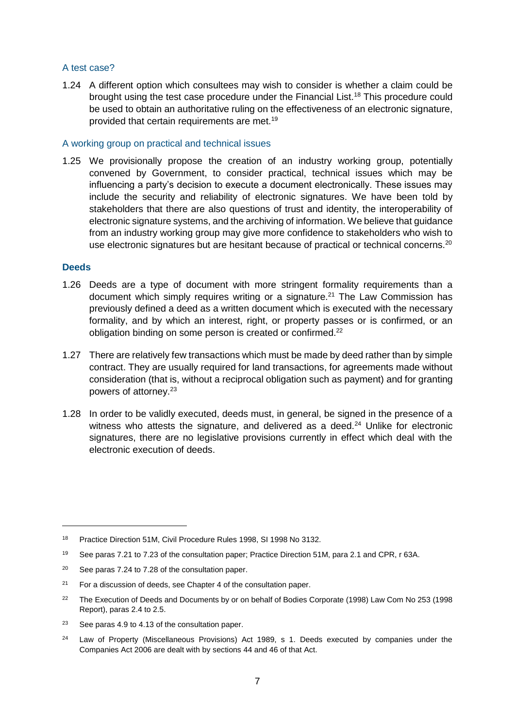#### A test case?

1.24 A different option which consultees may wish to consider is whether a claim could be brought using the test case procedure under the Financial List.<sup>18</sup> This procedure could be used to obtain an authoritative ruling on the effectiveness of an electronic signature, provided that certain requirements are met.<sup>19</sup>

#### A working group on practical and technical issues

1.25 We provisionally propose the creation of an industry working group, potentially convened by Government, to consider practical, technical issues which may be influencing a party's decision to execute a document electronically. These issues may include the security and reliability of electronic signatures. We have been told by stakeholders that there are also questions of trust and identity, the interoperability of electronic signature systems, and the archiving of information. We believe that guidance from an industry working group may give more confidence to stakeholders who wish to use electronic signatures but are hesitant because of practical or technical concerns.<sup>20</sup>

#### **Deeds**

- 1.26 Deeds are a type of document with more stringent formality requirements than a document which simply requires writing or a signature.<sup>21</sup> The Law Commission has previously defined a deed as a written document which is executed with the necessary formality, and by which an interest, right, or property passes or is confirmed, or an obligation binding on some person is created or confirmed.<sup>22</sup>
- 1.27 There are relatively few transactions which must be made by deed rather than by simple contract. They are usually required for land transactions, for agreements made without consideration (that is, without a reciprocal obligation such as payment) and for granting powers of attorney.<sup>23</sup>
- 1.28 In order to be validly executed, deeds must, in general, be signed in the presence of a witness who attests the signature, and delivered as a deed. $24$  Unlike for electronic signatures, there are no legislative provisions currently in effect which deal with the electronic execution of deeds.

<sup>18</sup> Practice Direction 51M, Civil Procedure Rules 1998, SI 1998 No 3132.

<sup>19</sup> See paras 7.21 to 7.23 of the consultation paper; Practice Direction 51M, para 2.1 and CPR, r 63A.

<sup>&</sup>lt;sup>20</sup> See paras 7.24 to 7.28 of the consultation paper.

 $21$  For a discussion of deeds, see Chapter 4 of the consultation paper.

<sup>&</sup>lt;sup>22</sup> The Execution of Deeds and Documents by or on behalf of Bodies Corporate (1998) Law Com No 253 (1998 Report), paras 2.4 to 2.5.

<sup>23</sup> See paras 4.9 to 4.13 of the consultation paper.

<sup>&</sup>lt;sup>24</sup> Law of Property (Miscellaneous Provisions) Act 1989, s 1. Deeds executed by companies under the Companies Act 2006 are dealt with by sections 44 and 46 of that Act.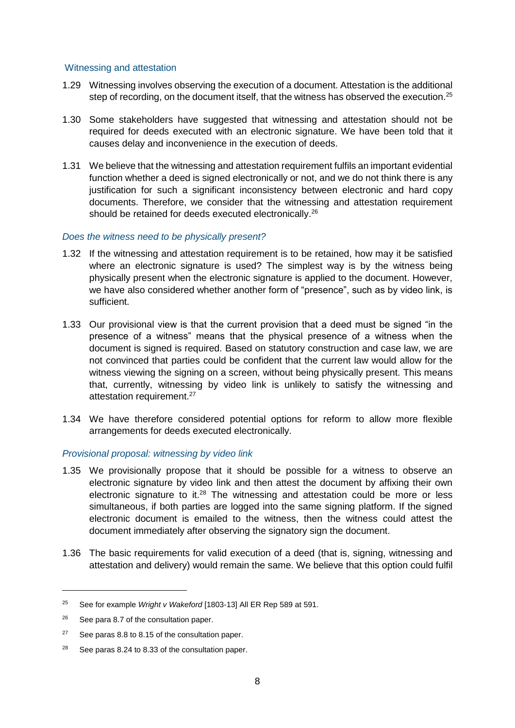#### Witnessing and attestation

- 1.29 Witnessing involves observing the execution of a document. Attestation is the additional step of recording, on the document itself, that the witness has observed the execution.<sup>25</sup>
- 1.30 Some stakeholders have suggested that witnessing and attestation should not be required for deeds executed with an electronic signature. We have been told that it causes delay and inconvenience in the execution of deeds.
- 1.31 We believe that the witnessing and attestation requirement fulfils an important evidential function whether a deed is signed electronically or not, and we do not think there is any justification for such a significant inconsistency between electronic and hard copy documents. Therefore, we consider that the witnessing and attestation requirement should be retained for deeds executed electronically.<sup>26</sup>

## *Does the witness need to be physically present?*

- 1.32 If the witnessing and attestation requirement is to be retained, how may it be satisfied where an electronic signature is used? The simplest way is by the witness being physically present when the electronic signature is applied to the document. However, we have also considered whether another form of "presence", such as by video link, is sufficient.
- 1.33 Our provisional view is that the current provision that a deed must be signed "in the presence of a witness" means that the physical presence of a witness when the document is signed is required. Based on statutory construction and case law, we are not convinced that parties could be confident that the current law would allow for the witness viewing the signing on a screen, without being physically present. This means that, currently, witnessing by video link is unlikely to satisfy the witnessing and attestation requirement.<sup>27</sup>
- 1.34 We have therefore considered potential options for reform to allow more flexible arrangements for deeds executed electronically.

## *Provisional proposal: witnessing by video link*

- 1.35 We provisionally propose that it should be possible for a witness to observe an electronic signature by video link and then attest the document by affixing their own electronic signature to it.<sup>28</sup> The witnessing and attestation could be more or less simultaneous, if both parties are logged into the same signing platform. If the signed electronic document is emailed to the witness, then the witness could attest the document immediately after observing the signatory sign the document.
- 1.36 The basic requirements for valid execution of a deed (that is, signing, witnessing and attestation and delivery) would remain the same. We believe that this option could fulfil

<sup>25</sup> See for example *Wright v Wakeford* [1803-13] All ER Rep 589 at 591.

<sup>&</sup>lt;sup>26</sup> See para 8.7 of the consultation paper.

<sup>&</sup>lt;sup>27</sup> See paras 8.8 to 8.15 of the consultation paper.

<sup>28</sup> See paras 8.24 to 8.33 of the consultation paper.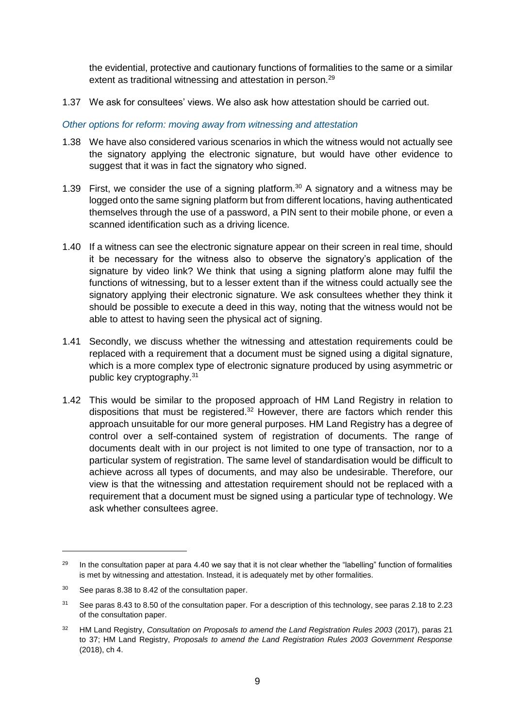the evidential, protective and cautionary functions of formalities to the same or a similar extent as traditional witnessing and attestation in person.<sup>29</sup>

1.37 We ask for consultees' views. We also ask how attestation should be carried out.

## *Other options for reform: moving away from witnessing and attestation*

- 1.38 We have also considered various scenarios in which the witness would not actually see the signatory applying the electronic signature, but would have other evidence to suggest that it was in fact the signatory who signed.
- 1.39 First, we consider the use of a signing platform.<sup>30</sup> A signatory and a witness may be logged onto the same signing platform but from different locations, having authenticated themselves through the use of a password, a PIN sent to their mobile phone, or even a scanned identification such as a driving licence.
- 1.40 If a witness can see the electronic signature appear on their screen in real time, should it be necessary for the witness also to observe the signatory's application of the signature by video link? We think that using a signing platform alone may fulfil the functions of witnessing, but to a lesser extent than if the witness could actually see the signatory applying their electronic signature. We ask consultees whether they think it should be possible to execute a deed in this way, noting that the witness would not be able to attest to having seen the physical act of signing.
- 1.41 Secondly, we discuss whether the witnessing and attestation requirements could be replaced with a requirement that a document must be signed using a digital signature, which is a more complex type of electronic signature produced by using asymmetric or public key cryptography.<sup>31</sup>
- 1.42 This would be similar to the proposed approach of HM Land Registry in relation to dispositions that must be registered.<sup>32</sup> However, there are factors which render this approach unsuitable for our more general purposes. HM Land Registry has a degree of control over a self-contained system of registration of documents. The range of documents dealt with in our project is not limited to one type of transaction, nor to a particular system of registration. The same level of standardisation would be difficult to achieve across all types of documents, and may also be undesirable. Therefore, our view is that the witnessing and attestation requirement should not be replaced with a requirement that a document must be signed using a particular type of technology. We ask whether consultees agree.

<sup>&</sup>lt;sup>29</sup> In the consultation paper at para 4.40 we say that it is not clear whether the "labelling" function of formalities is met by witnessing and attestation. Instead, it is adequately met by other formalities.

<sup>30</sup> See paras 8.38 to 8.42 of the consultation paper.

<sup>31</sup> See paras 8.43 to 8.50 of the consultation paper. For a description of this technology, see paras 2.18 to 2.23 of the consultation paper.

<sup>32</sup> HM Land Registry, *Consultation on Proposals to amend the Land Registration Rules 2003* (2017), paras 21 to 37; HM Land Registry, *Proposals to amend the Land Registration Rules 2003 Government Response* (2018), ch 4.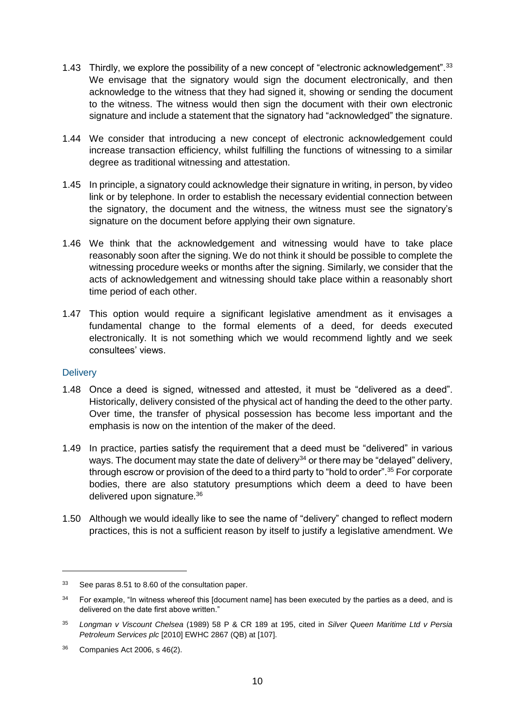- 1.43 Thirdly, we explore the possibility of a new concept of "electronic acknowledgement".<sup>33</sup> We envisage that the signatory would sign the document electronically, and then acknowledge to the witness that they had signed it, showing or sending the document to the witness. The witness would then sign the document with their own electronic signature and include a statement that the signatory had "acknowledged" the signature.
- 1.44 We consider that introducing a new concept of electronic acknowledgement could increase transaction efficiency, whilst fulfilling the functions of witnessing to a similar degree as traditional witnessing and attestation.
- 1.45 In principle, a signatory could acknowledge their signature in writing, in person, by video link or by telephone. In order to establish the necessary evidential connection between the signatory, the document and the witness, the witness must see the signatory's signature on the document before applying their own signature.
- 1.46 We think that the acknowledgement and witnessing would have to take place reasonably soon after the signing. We do not think it should be possible to complete the witnessing procedure weeks or months after the signing. Similarly, we consider that the acts of acknowledgement and witnessing should take place within a reasonably short time period of each other.
- 1.47 This option would require a significant legislative amendment as it envisages a fundamental change to the formal elements of a deed, for deeds executed electronically. It is not something which we would recommend lightly and we seek consultees' views.

## **Delivery**

- 1.48 Once a deed is signed, witnessed and attested, it must be "delivered as a deed". Historically, delivery consisted of the physical act of handing the deed to the other party. Over time, the transfer of physical possession has become less important and the emphasis is now on the intention of the maker of the deed.
- 1.49 In practice, parties satisfy the requirement that a deed must be "delivered" in various ways. The document may state the date of delivery<sup>34</sup> or there may be "delayed" delivery, through escrow or provision of the deed to a third party to "hold to order".<sup>35</sup> For corporate bodies, there are also statutory presumptions which deem a deed to have been delivered upon signature.<sup>36</sup>
- 1.50 Although we would ideally like to see the name of "delivery" changed to reflect modern practices, this is not a sufficient reason by itself to justify a legislative amendment. We

<sup>33</sup> See paras 8.51 to 8.60 of the consultation paper.

 $34$  For example, "In witness whereof this [document name] has been executed by the parties as a deed, and is delivered on the date first above written."

<sup>35</sup> *Longman v Viscount Chelsea* (1989) 58 P & CR 189 at 195, cited in *Silver Queen Maritime Ltd v Persia Petroleum Services plc* [2010] EWHC 2867 (QB) at [107].

<sup>36</sup> Companies Act 2006, s 46(2).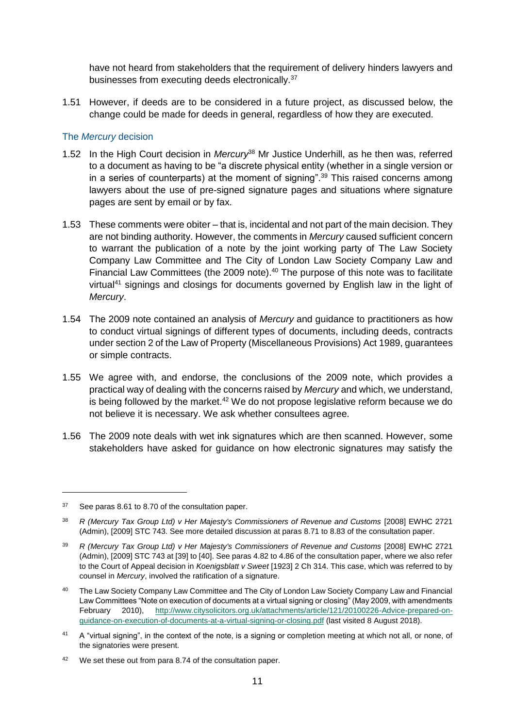have not heard from stakeholders that the requirement of delivery hinders lawyers and businesses from executing deeds electronically.<sup>37</sup>

1.51 However, if deeds are to be considered in a future project, as discussed below, the change could be made for deeds in general, regardless of how they are executed.

## The *Mercury* decision

- 1.52 In the High Court decision in *Mercury*<sup>38</sup> Mr Justice Underhill, as he then was, referred to a document as having to be "a discrete physical entity (whether in a single version or in a series of counterparts) at the moment of signing".<sup>39</sup> This raised concerns among lawyers about the use of pre-signed signature pages and situations where signature pages are sent by email or by fax.
- 1.53 These comments were obiter that is, incidental and not part of the main decision. They are not binding authority. However, the comments in *Mercury* caused sufficient concern to warrant the publication of a note by the joint working party of The Law Society Company Law Committee and The City of London Law Society Company Law and Financial Law Committees (the 2009 note).<sup>40</sup> The purpose of this note was to facilitate virtual<sup>41</sup> signings and closings for documents governed by English law in the light of *Mercury*.
- 1.54 The 2009 note contained an analysis of *Mercury* and guidance to practitioners as how to conduct virtual signings of different types of documents, including deeds, contracts under section 2 of the Law of Property (Miscellaneous Provisions) Act 1989, guarantees or simple contracts.
- 1.55 We agree with, and endorse, the conclusions of the 2009 note, which provides a practical way of dealing with the concerns raised by *Mercury* and which, we understand, is being followed by the market. $42$  We do not propose legislative reform because we do not believe it is necessary. We ask whether consultees agree.
- 1.56 The 2009 note deals with wet ink signatures which are then scanned. However, some stakeholders have asked for guidance on how electronic signatures may satisfy the

<sup>37</sup> See paras 8.61 to 8.70 of the consultation paper.

<sup>38</sup> *R (Mercury Tax Group Ltd) v Her Majesty's Commissioners of Revenue and Customs* [2008] EWHC 2721 (Admin), [2009] STC 743. See more detailed discussion at paras 8.71 to 8.83 of the consultation paper.

<sup>39</sup> *R (Mercury Tax Group Ltd) v Her Majesty's Commissioners of Revenue and Customs* [2008] EWHC 2721 (Admin), [2009] STC 743 at [39] to [40]. See paras 4.82 to 4.86 of the consultation paper, where we also refer to the Court of Appeal decision in *Koenigsblatt v Sweet* [1923] 2 Ch 314. This case, which was referred to by counsel in *Mercury*, involved the ratification of a signature.

<sup>&</sup>lt;sup>40</sup> The Law Society Company Law Committee and The City of London Law Society Company Law and Financial Law Committees "Note on execution of documents at a virtual signing or closing" (May 2009, with amendments February 2010), [http://www.citysolicitors.org.uk/attachments/article/121/20100226-Advice-prepared-on](http://www.citysolicitors.org.uk/attachments/article/121/20100226-Advice-prepared-on-guidance-on-execution-of-documents-at-a-virtual-signing-or-closing.pdf)[guidance-on-execution-of-documents-at-a-virtual-signing-or-closing.pdf](http://www.citysolicitors.org.uk/attachments/article/121/20100226-Advice-prepared-on-guidance-on-execution-of-documents-at-a-virtual-signing-or-closing.pdf) (last visited 8 August 2018).

<sup>&</sup>lt;sup>41</sup> A "virtual signing", in the context of the note, is a signing or completion meeting at which not all, or none, of the signatories were present.

<sup>&</sup>lt;sup>42</sup> We set these out from para 8.74 of the consultation paper.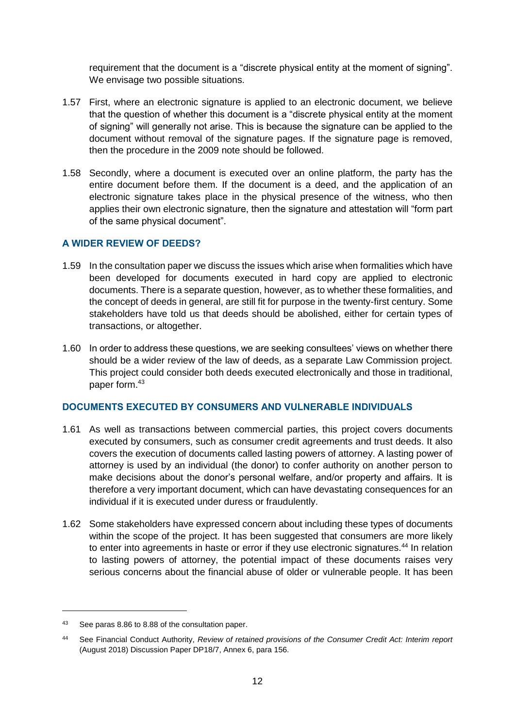requirement that the document is a "discrete physical entity at the moment of signing". We envisage two possible situations.

- 1.57 First, where an electronic signature is applied to an electronic document, we believe that the question of whether this document is a "discrete physical entity at the moment of signing" will generally not arise. This is because the signature can be applied to the document without removal of the signature pages. If the signature page is removed, then the procedure in the 2009 note should be followed.
- 1.58 Secondly, where a document is executed over an online platform, the party has the entire document before them. If the document is a deed, and the application of an electronic signature takes place in the physical presence of the witness, who then applies their own electronic signature, then the signature and attestation will "form part of the same physical document".

# **A WIDER REVIEW OF DEEDS?**

- 1.59 In the consultation paper we discuss the issues which arise when formalities which have been developed for documents executed in hard copy are applied to electronic documents. There is a separate question, however, as to whether these formalities, and the concept of deeds in general, are still fit for purpose in the twenty-first century. Some stakeholders have told us that deeds should be abolished, either for certain types of transactions, or altogether.
- 1.60 In order to address these questions, we are seeking consultees' views on whether there should be a wider review of the law of deeds, as a separate Law Commission project. This project could consider both deeds executed electronically and those in traditional, paper form.<sup>43</sup>

## **DOCUMENTS EXECUTED BY CONSUMERS AND VULNERABLE INDIVIDUALS**

- 1.61 As well as transactions between commercial parties, this project covers documents executed by consumers, such as consumer credit agreements and trust deeds. It also covers the execution of documents called lasting powers of attorney. A lasting power of attorney is used by an individual (the donor) to confer authority on another person to make decisions about the donor's personal welfare, and/or property and affairs. It is therefore a very important document, which can have devastating consequences for an individual if it is executed under duress or fraudulently.
- 1.62 Some stakeholders have expressed concern about including these types of documents within the scope of the project. It has been suggested that consumers are more likely to enter into agreements in haste or error if they use electronic signatures.<sup>44</sup> In relation to lasting powers of attorney, the potential impact of these documents raises very serious concerns about the financial abuse of older or vulnerable people. It has been

<sup>43</sup> See paras 8.86 to 8.88 of the consultation paper.

<sup>44</sup> See Financial Conduct Authority, *Review of retained provisions of the Consumer Credit Act: Interim report* (August 2018) Discussion Paper DP18/7, Annex 6, para 156.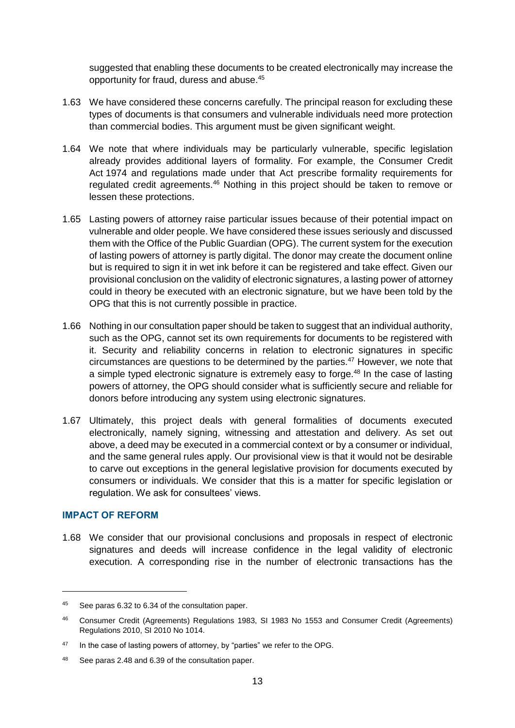suggested that enabling these documents to be created electronically may increase the opportunity for fraud, duress and abuse.<sup>45</sup>

- 1.63 We have considered these concerns carefully. The principal reason for excluding these types of documents is that consumers and vulnerable individuals need more protection than commercial bodies. This argument must be given significant weight.
- 1.64 We note that where individuals may be particularly vulnerable, specific legislation already provides additional layers of formality. For example, the Consumer Credit Act 1974 and regulations made under that Act prescribe formality requirements for regulated credit agreements.<sup>46</sup> Nothing in this project should be taken to remove or lessen these protections.
- 1.65 Lasting powers of attorney raise particular issues because of their potential impact on vulnerable and older people. We have considered these issues seriously and discussed them with the Office of the Public Guardian (OPG). The current system for the execution of lasting powers of attorney is partly digital. The donor may create the document online but is required to sign it in wet ink before it can be registered and take effect. Given our provisional conclusion on the validity of electronic signatures, a lasting power of attorney could in theory be executed with an electronic signature, but we have been told by the OPG that this is not currently possible in practice.
- 1.66 Nothing in our consultation paper should be taken to suggest that an individual authority, such as the OPG, cannot set its own requirements for documents to be registered with it. Security and reliability concerns in relation to electronic signatures in specific circumstances are questions to be determined by the parties.<sup>47</sup> However, we note that a simple typed electronic signature is extremely easy to forge.<sup>48</sup> In the case of lasting powers of attorney, the OPG should consider what is sufficiently secure and reliable for donors before introducing any system using electronic signatures.
- 1.67 Ultimately, this project deals with general formalities of documents executed electronically, namely signing, witnessing and attestation and delivery. As set out above, a deed may be executed in a commercial context or by a consumer or individual, and the same general rules apply. Our provisional view is that it would not be desirable to carve out exceptions in the general legislative provision for documents executed by consumers or individuals. We consider that this is a matter for specific legislation or regulation. We ask for consultees' views.

## **IMPACT OF REFORM**

-

1.68 We consider that our provisional conclusions and proposals in respect of electronic signatures and deeds will increase confidence in the legal validity of electronic execution. A corresponding rise in the number of electronic transactions has the

<sup>45</sup> See paras 6.32 to 6.34 of the consultation paper.

<sup>46</sup> Consumer Credit (Agreements) Regulations 1983, SI 1983 No 1553 and Consumer Credit (Agreements) Regulations 2010, SI 2010 No 1014.

 $47$  In the case of lasting powers of attorney, by "parties" we refer to the OPG.

<sup>48</sup> See paras 2.48 and 6.39 of the consultation paper.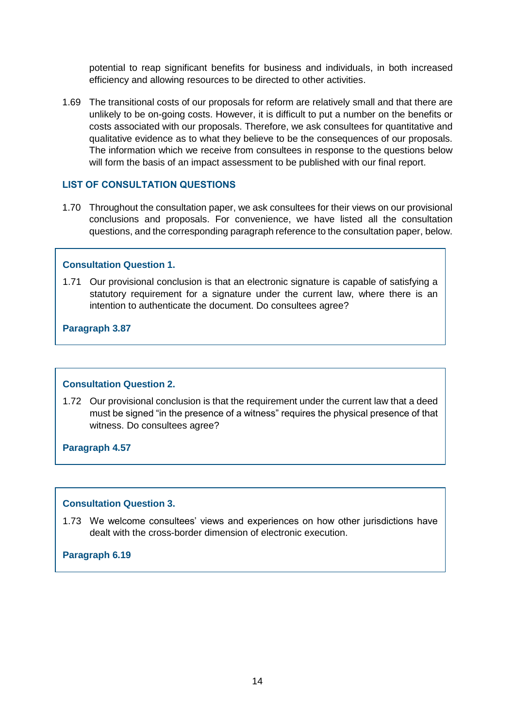potential to reap significant benefits for business and individuals, in both increased efficiency and allowing resources to be directed to other activities.

1.69 The transitional costs of our proposals for reform are relatively small and that there are unlikely to be on-going costs. However, it is difficult to put a number on the benefits or costs associated with our proposals. Therefore, we ask consultees for quantitative and qualitative evidence as to what they believe to be the consequences of our proposals. The information which we receive from consultees in response to the questions below will form the basis of an impact assessment to be published with our final report.

## **LIST OF CONSULTATION QUESTIONS**

1.70 Throughout the consultation paper, we ask consultees for their views on our provisional conclusions and proposals. For convenience, we have listed all the consultation questions, and the corresponding paragraph reference to the consultation paper, below.

#### **Consultation Question 1.**

1.71 Our provisional conclusion is that an electronic signature is capable of satisfying a statutory requirement for a signature under the current law, where there is an intention to authenticate the document. Do consultees agree?

**Paragraph 3.87**

## **Consultation Question 2.**

1.72 Our provisional conclusion is that the requirement under the current law that a deed must be signed "in the presence of a witness" requires the physical presence of that witness. Do consultees agree?

**Paragraph 4.57**

#### **Consultation Question 3.**

1.73 We welcome consultees' views and experiences on how other jurisdictions have dealt with the cross-border dimension of electronic execution.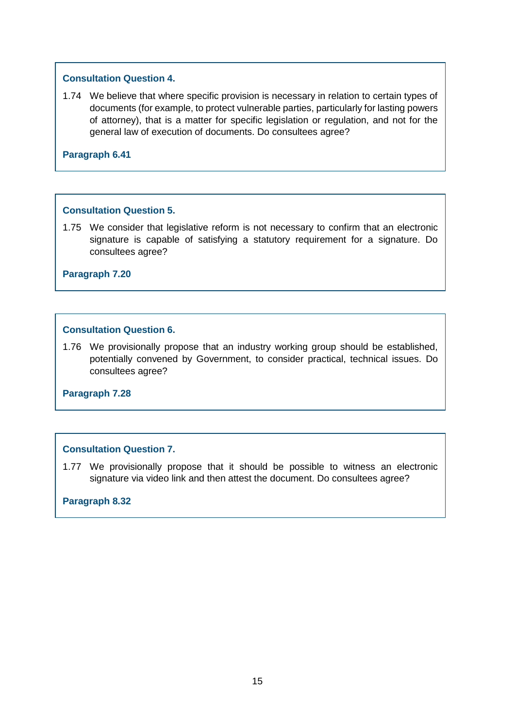# **Consultation Question 4.**

1.74 We believe that where specific provision is necessary in relation to certain types of documents (for example, to protect vulnerable parties, particularly for lasting powers of attorney), that is a matter for specific legislation or regulation, and not for the general law of execution of documents. Do consultees agree?

**Paragraph 6.41**

# **Consultation Question 5.**

1.75 We consider that legislative reform is not necessary to confirm that an electronic signature is capable of satisfying a statutory requirement for a signature. Do consultees agree?

**Paragraph 7.20**

# **Consultation Question 6.**

1.76 We provisionally propose that an industry working group should be established, potentially convened by Government, to consider practical, technical issues. Do consultees agree?

**Paragraph 7.28**

# **Consultation Question 7.**

1.77 We provisionally propose that it should be possible to witness an electronic signature via video link and then attest the document. Do consultees agree?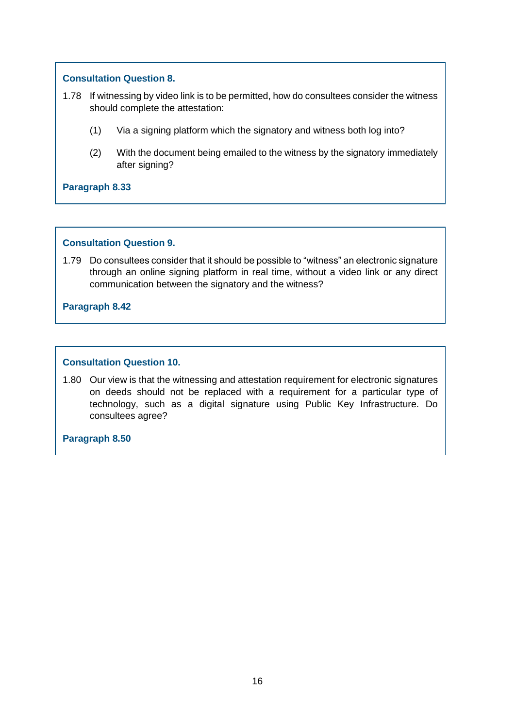# **Consultation Question 8.**

- 1.78 If witnessing by video link is to be permitted, how do consultees consider the witness should complete the attestation:
	- (1) Via a signing platform which the signatory and witness both log into?
	- (2) With the document being emailed to the witness by the signatory immediately after signing?

**Paragraph 8.33**

## **Consultation Question 9.**

1.79 Do consultees consider that it should be possible to "witness" an electronic signature through an online signing platform in real time, without a video link or any direct communication between the signatory and the witness?

**Paragraph 8.42**

## **Consultation Question 10.**

1.80 Our view is that the witnessing and attestation requirement for electronic signatures on deeds should not be replaced with a requirement for a particular type of technology, such as a digital signature using Public Key Infrastructure. Do consultees agree?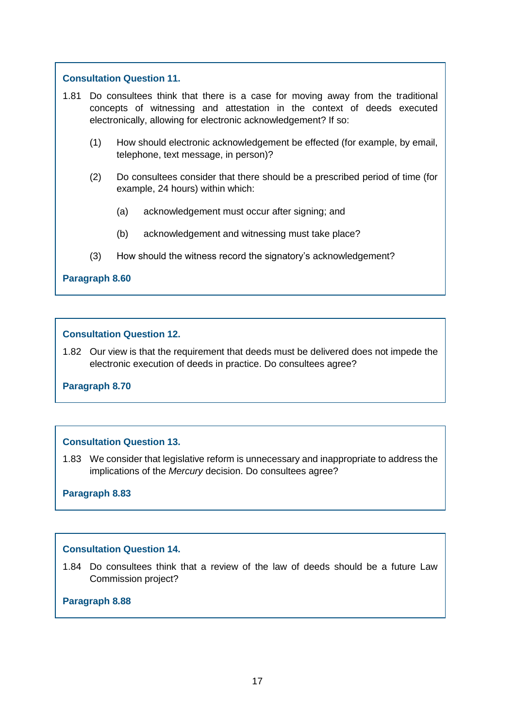# **Consultation Question 11.**

- 1.81 Do consultees think that there is a case for moving away from the traditional concepts of witnessing and attestation in the context of deeds executed electronically, allowing for electronic acknowledgement? If so:
	- (1) How should electronic acknowledgement be effected (for example, by email, telephone, text message, in person)?
	- (2) Do consultees consider that there should be a prescribed period of time (for example, 24 hours) within which:
		- (a) acknowledgement must occur after signing; and
		- (b) acknowledgement and witnessing must take place?
	- (3) How should the witness record the signatory's acknowledgement?

## **Paragraph 8.60**

#### **Consultation Question 12.**

1.82 Our view is that the requirement that deeds must be delivered does not impede the electronic execution of deeds in practice. Do consultees agree?

## **Paragraph 8.70**

## **Consultation Question 13.**

1.83 We consider that legislative reform is unnecessary and inappropriate to address the implications of the *Mercury* decision. Do consultees agree?

## **Paragraph 8.83**

# **Consultation Question 14.**

1.84 Do consultees think that a review of the law of deeds should be a future Law Commission project?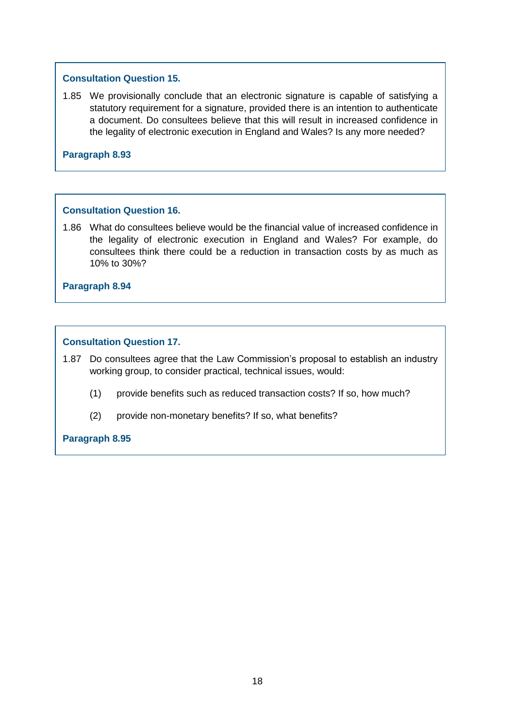# **Consultation Question 15.**

1.85 We provisionally conclude that an electronic signature is capable of satisfying a statutory requirement for a signature, provided there is an intention to authenticate a document. Do consultees believe that this will result in increased confidence in the legality of electronic execution in England and Wales? Is any more needed?

**Paragraph 8.93**

# **Consultation Question 16.**

1.86 What do consultees believe would be the financial value of increased confidence in the legality of electronic execution in England and Wales? For example, do consultees think there could be a reduction in transaction costs by as much as 10% to 30%?

**Paragraph 8.94**

# **Consultation Question 17.**

1.87 Do consultees agree that the Law Commission's proposal to establish an industry working group, to consider practical, technical issues, would:

- (1) provide benefits such as reduced transaction costs? If so, how much?
- (2) provide non-monetary benefits? If so, what benefits?